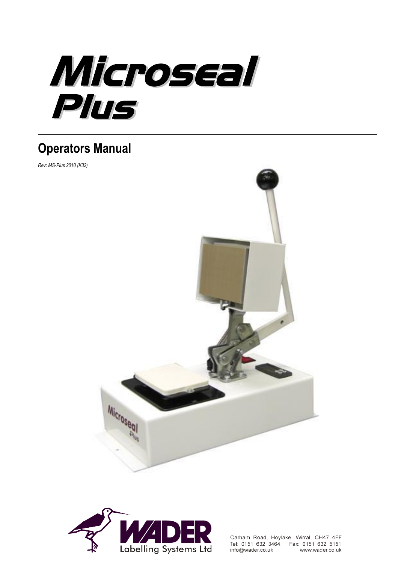

# **Operators Manual**

*Rev: MS-Plus 2010 (K32)*





Carham Road, Hoylake, Wirral, CH47 4FF Tel: 0151 632 3464, Fax: 0151 632 5151 info@wader.co.uk www.wader.co.uk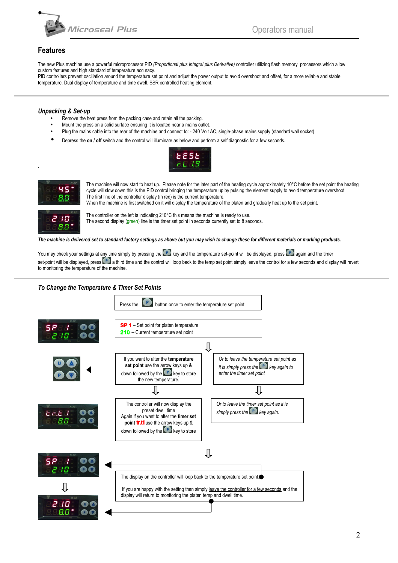

# **Features**

The new Plus machine use a powerful microprocessor PID *(Proportional plus Integral plus Derivative)* controller utilizing flash memory processors which allow custom features and high standard of temperature accuracy.

PID controllers prevent oscillation around the temperature set point and adjust the power output to avoid overshoot and offset, for a more reliable and stable temperature. Dual display of temperature and time dwell. SSR controlled heating element.

### *Unpacking & Set-up*

- Remove the heat press from the packing case and retain all the packing.
- Mount the press on a solid surface ensuring it is located near a mains outlet.
- Plug the mains cable into the rear of the machine and connect to: 240 Volt AC, single-phase mains supply (standard wall socket)
- Depress the **on / off** switch and the control will illuminate as below and perform a self diagnostic for a few seconds.





.

The machine will now start to heat up. Please note for the later part of the heating cycle approximately 10°C before the set point the heating cycle will slow down this is the PID control bringing the temperature up by pulsing the element supply to avoid temperature overshoot The first line of the controller display (in red) is the current temperature. When the machine is first switched on it will display the temperature of the platen and gradually heat up to the set point.



The controller on the left is indicating 210°C this means the machine is ready to use. The second display (green) line is the timer set point in seconds currently set to 8 seconds.

*The machine is delivered set to standard factory settings as above but you may wish to change these for different materials or marking products.*

You may check your settings at any time simply by pressing the **P** key and the temperature set-point will be displayed, press **P** again and the timer set-point will be displayed, press  $\Box$  a third time and the control will loop back to the temp set point simply leave the control for a few seconds and display will revert to monitoring the temperature of the machine.

## *To Change the Temperature & Timer Set Points*

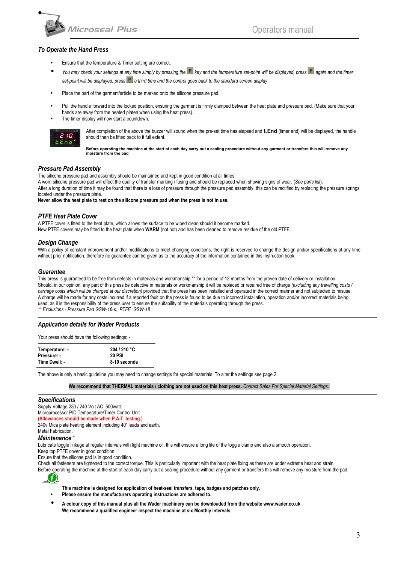

### *To Operate the Hand Press*

- Ensure that the temperature & Timer setting are correct.
- You may check your settings at any time simply by pressing the **P** key and the temperature set-point will be displayed, press **P** again and the timer set-point will be displayed, press **P** a third time and the control goes back to the standard screen display
- Place the part of the garment/article to be marked onto the silicone pressure pad.
- Pull the handle forward into the locked position, ensuring the garment is firmly clamped between the heat plate and pressure pad. (Make sure that your hands are away from the heated platen when using the heat press).
- The timer display will now start a countdown.



After completion of the above the buzzer will sound when the pre-set time has elapsed and **t.End** (timer end) will be displayed, the handle should then be lifted back to it full extent.

**Before operating the machine at the start of each day carry out a sealing procedure without any garment or transfers this will remove any moisture from the pad.**

### *Pressure Pad Assembly*

The silicone pressure pad and assembly should be maintained and kept in good condition at all times.

A worn silicone pressure pad will effect the quality of transfer marking / fusing and should be replaced when showing signs of wear. (*See parts list*). After a long duration of time it may be found that there is a loss of pressure through the pressure pad assembly, this can be rectified by replacing the pressure springs located under the pressure plate.

**Never allow the heat plate to rest on the silicone pressure pad when the press is not in use.**

### *PTFE Heat Plate Cover*

A PTFE cover is fitted to the heat plate, which allows the surface to be wiped clean should it become marked.

New PTFE covers may be fitted to the heat plate when **WARM** (not hot) and has been cleaned to remove residue of the old PTFE.

### *Design Change*

With a policy of constant improvement and/or modifications to meet changing conditions, the right is reserved to change the design and/or specifications at any time without prior notification, therefore no quarantee can be given as to the accuracy of the information contained in this instruction book.

#### *Guarantee*

This press is guaranteed to be free from defects in materials and workmanship **\*\*** for a period of 12 months from the proven date of delivery or installation. Should, in our opinion, any part of this press be defective in materials or workmanship it will be replaced or repaired free of charge *(excluding any travelling costs / carriage costs which will be charged at our discretion)* provided that the press has been installed and operated in the correct manner and not subjected to misuse. A charge will be made for any costs incurred if a reported fault on the press is found to be due to incorrect installation, operation and/or incorrect materials being used, as it is the responsibility of the press user to ensure the suitability of the materials operating through the press. *\*\* Exclusions - Pressure Pad GSW-16-s, PTFE GSW-18*

### *Application details for Wader Products*

Your press should have the following settings: -

| Temperature: - | 204/210 °C    |
|----------------|---------------|
| Pressure: -    | <b>20 PSI</b> |
| Time Dwell: -  | 8-10 seconds  |

The above is only a basic guideline you may need to change settings for special materials. To alter the settings see page 2.

**We recommend that THERMAL materials / clothing are not used on this heat press.** *Contact Sales For Special Material Settings.*

### *Specifications*

Supply Voltage 230 / 240 Volt AC. 500watt. Microprocessor PID Temperature/Timer Control Unit **(Allowances should be made when P.A.T. testing.)** 240v Mica plate heating element including 40" leads and earth.

# Metal Fabrication.

*Maintenance* \*

Lubricate toggle linkage at regular intervals with light machine oil, this will ensure a long life of the toggle clamp and also a smooth operation.

Keep top PTFE cover in good condition. Ensure that the silicone pad is in good condition.

Check all fasteners are tightened to the correct torque. This is particularly important with the heat plate fixing as these are under extreme heat and strain.

Before operating the machine at the start of each day carry out a sealing procedure without any garment or transfers this will remove any moisture from the pad.



**This machine is designed for application of heat-seal transfers, tape, badges and patches only.**

- **Please ensure the manufacturers operating instructions are adhered to.**
- **A colour copy of this manual plus all the Wader machinery can be downloaded from the website [www.wader.co.uk](http://www.wader.co.uk/) We recommend a qualified engineer inspect the machine at six Monthly intervals**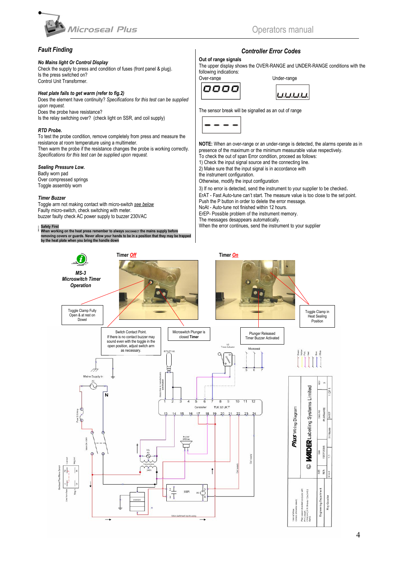

# *Fault Finding*

### *No Mains light Or Control Display*

Check the supply to press and condition of fuses (front panel & plug). Is the press switched on? Control Unit Transformer.

### *Heat plate fails to get warm (refer to fig.2)*

Does the element have continuity? *Specifications for this test can be supplied upon request.* Does the probe have resistance?

Is the relay switching over? (check light on SSR, and coil supply)

### *RTD Probe.*

To test the probe condition, remove completely from press and measure the resistance at room temperature using a multimeter.

Then warm the probe if the resistance changes the probe is working correctly. *Specifications for this test can be supplied upon request.*

### *Sealing Pressure Low.*

Badly worn pad Over compressed springs Toggle assembly worn

#### *Timer Buzzer*

Toggle arm not making contact with micro-switch *see below* Faulty micro-switch, check switching with meter. buzzer faulty check AC power supply to buzzer 230VAC

# **.**

Safety First<br>When working on the heat press remember to always ɒʁcoʌʌɛcɪ the mains supply before<br>removing covers or guards. Never allow your hands to be in a position that they may be trapped<br>by the heat plate when you br

# *Controller Error Codes*

### **Out of range signals**

The upper display shows the OVER-RANGE and UNDER-RANGE conditions with the following indications:

| Over-range | Under-range |
|------------|-------------|
| nnnn       |             |



The sensor break will be signalled as an out of range



**NOTE:** When an over-range or an under-range is detected, the alarms operate as in presence of the maximum or the minimum measurable value respectively. To check the out of span Error condition, proceed as follows:

1) Check the input signal source and the connecting line.

2) Make sure that the input signal is in accordance with

the instrument configuration.

Otherwise, modify the input configuration

3) If no error is detected, send the instrument to your supplier to be checked. ErAT - Fast Auto-tune can't start. The measure value is too close to the set point. Push the P button in order to delete the error message.

NoAt - Auto-tune not finished within 12 hours.

ErEP- Possible problem of the instrument memory.

The messages desappears automatically.

When the error continues, send the instrument to your supplier